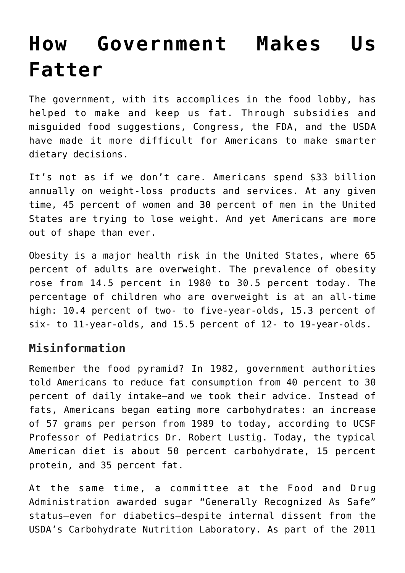## **[How Government Makes Us](https://intellectualtakeout.org/2017/05/how-government-makes-us-fatter/) [Fatter](https://intellectualtakeout.org/2017/05/how-government-makes-us-fatter/)**

The government, with its accomplices in the food lobby, has helped to make and keep us fat. Through subsidies and misguided food suggestions, Congress, the FDA, and the USDA have made it more difficult for Americans to make smarter dietary decisions.

It's not as if we don't care. Americans spend \$33 billion annually on weight-loss products and services. At any given time, 45 percent of women and 30 percent of men in the United States are trying to lose weight. And yet Americans are more out of shape than ever.

Obesity is a major health risk in the United States, where 65 percent of adults are overweight. The prevalence of obesity rose from 14.5 percent in 1980 to 30.5 percent today. The percentage of children who are overweight is at an all-time high: 10.4 percent of two- to five-year-olds, 15.3 percent of six- to 11-year-olds, and 15.5 percent of 12- to 19-year-olds.

## **Misinformation**

Remember the food pyramid? In 1982, government authorities told Americans to reduce fat consumption from 40 percent to 30 percent of daily intake—and we took their advice. Instead of fats, Americans began eating more carbohydrates: an increase of 57 grams per person from 1989 to today, according to UCSF Professor of Pediatrics Dr. Robert Lustig. Today, the typical American diet is about 50 percent carbohydrate, 15 percent protein, and 35 percent fat.

At the same time, a committee at the Food and Drug Administration awarded sugar "Generally Recognized As Safe" status—even for diabetics—despite internal dissent from the USDA's Carbohydrate Nutrition Laboratory. As part of the 2011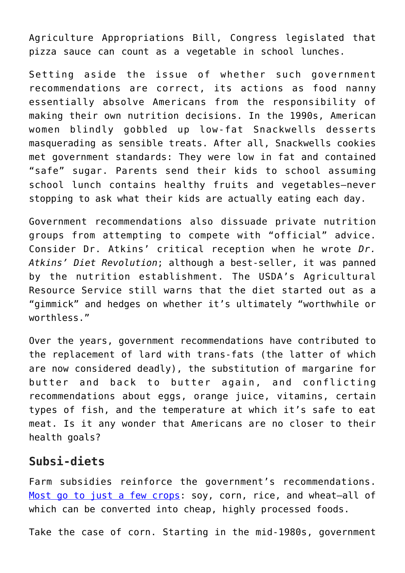Agriculture Appropriations Bill, Congress legislated that pizza sauce can count as a vegetable in school lunches.

Setting aside the issue of whether such government recommendations are correct, its actions as food nanny essentially absolve Americans from the responsibility of making their own nutrition decisions. In the 1990s, American women blindly gobbled up low-fat Snackwells desserts masquerading as sensible treats. After all, Snackwells cookies met government standards: They were low in fat and contained "safe" sugar. Parents send their kids to school assuming school lunch contains healthy fruits and vegetables—never stopping to ask what their kids are actually eating each day.

Government recommendations also dissuade private nutrition groups from attempting to compete with "official" advice. Consider Dr. Atkins' critical reception when he wrote *Dr. Atkins' Diet Revolution*; although a best-seller, it was panned by the nutrition establishment. The USDA's Agricultural Resource Service still warns that the diet started out as a "gimmick" and hedges on whether it's ultimately "worthwhile or worthless<sup>"</sup>

Over the years, government recommendations have contributed to the replacement of lard with trans-fats (the latter of which are now considered deadly), the substitution of margarine for butter and back to butter again, and conflicting recommendations about eggs, orange juice, vitamins, certain types of fish, and the temperature at which it's safe to eat meat. Is it any wonder that Americans are no closer to their health goals?

## **Subsi-diets**

Farm subsidies reinforce the government's recommendations. [Most go to just a few crops:](http://assets.mediaspanonline.com/prod/6717634/AK_072911_Top5subsidy_w500.jpg) soy, corn, rice, and wheat-all of which can be converted into cheap, highly processed foods.

Take the case of corn. Starting in the mid-1980s, government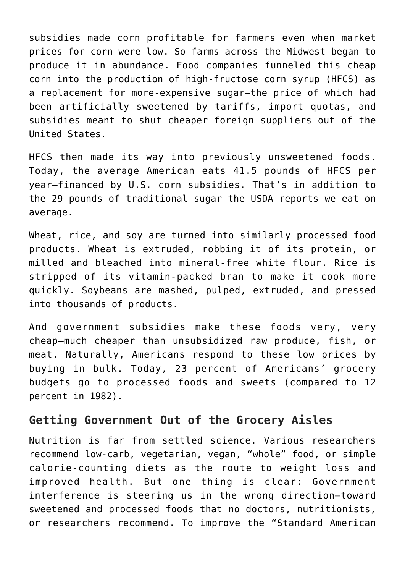subsidies made corn profitable for farmers even when market prices for corn were low. So farms across the Midwest began to produce it in abundance. Food companies funneled this cheap corn into the production of high-fructose corn syrup (HFCS) as a replacement for more-expensive sugar—the price of which had been artificially sweetened by tariffs, import quotas, and subsidies meant to shut cheaper foreign suppliers out of the United States.

HFCS then made its way into previously unsweetened foods. Today, the average American eats 41.5 pounds of HFCS per year—financed by U.S. corn subsidies. That's in addition to the 29 pounds of traditional sugar the USDA reports we eat on average.

Wheat, rice, and soy are turned into similarly processed food products. Wheat is extruded, robbing it of its protein, or milled and bleached into mineral-free white flour. Rice is stripped of its vitamin-packed bran to make it cook more quickly. Soybeans are mashed, pulped, extruded, and pressed into thousands of products.

And government subsidies make these foods very, very cheap—much cheaper than unsubsidized raw produce, fish, or meat. Naturally, Americans respond to these low prices by buying in bulk. Today, 23 percent of Americans' grocery budgets go to processed foods and sweets (compared to 12 percent in 1982).

## **Getting Government Out of the Grocery Aisles**

Nutrition is far from settled science. Various researchers recommend low-carb, vegetarian, vegan, "whole" food, or simple calorie-counting diets as the route to weight loss and improved health. But one thing is clear: Government interference is steering us in the wrong direction—toward sweetened and processed foods that no doctors, nutritionists, or researchers recommend. To improve the "Standard American